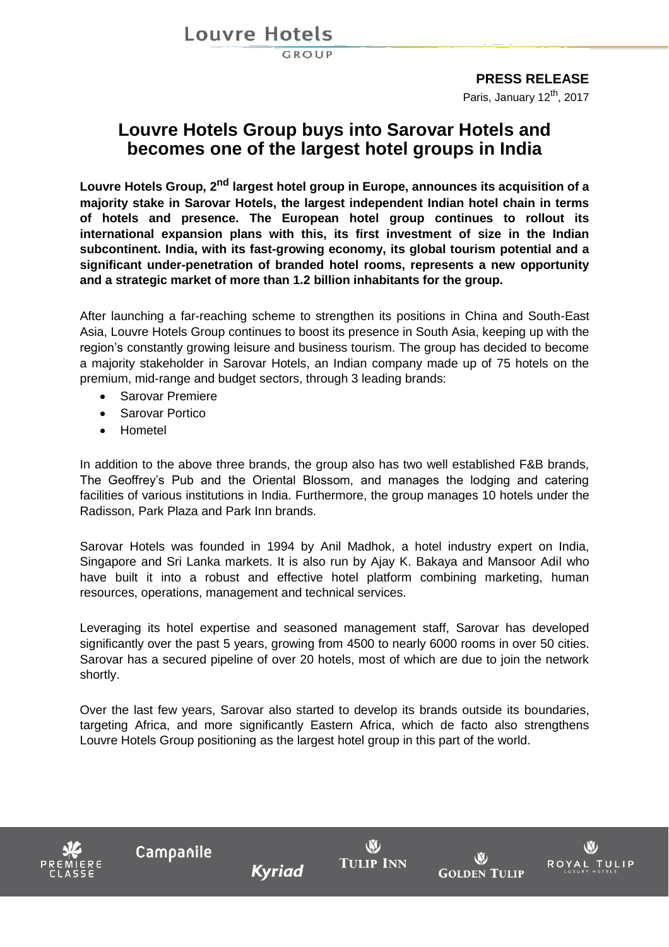**Louvre Hotels** 

GROUP

### **PRESS RELEASE**

Paris, January 12<sup>th</sup>, 2017

## **Louvre Hotels Group buys into Sarovar Hotels and becomes one of the largest hotel groups in India**

**Louvre Hotels Group, 2nd largest hotel group in Europe, announces its acquisition of a majority stake in Sarovar Hotels, the largest independent Indian hotel chain in terms of hotels and presence. The European hotel group continues to rollout its international expansion plans with this, its first investment of size in the Indian subcontinent. India, with its fast-growing economy, its global tourism potential and a significant under-penetration of branded hotel rooms, represents a new opportunity and a strategic market of more than 1.2 billion inhabitants for the group.**

After launching a far-reaching scheme to strengthen its positions in China and South-East Asia, Louvre Hotels Group continues to boost its presence in South Asia, keeping up with the region's constantly growing leisure and business tourism. The group has decided to become a majority stakeholder in Sarovar Hotels, an Indian company made up of 75 hotels on the premium, mid-range and budget sectors, through 3 leading brands:

- Sarovar Premiere
- **•** Sarovar Portico
- Hometel

In addition to the above three brands, the group also has two well established F&B brands, The Geoffrey's Pub and the Oriental Blossom, and manages the lodging and catering facilities of various institutions in India. Furthermore, the group manages 10 hotels under the Radisson, Park Plaza and Park Inn brands.

Sarovar Hotels was founded in 1994 by Anil Madhok, a hotel industry expert on India, Singapore and Sri Lanka markets. It is also run by Ajay K. Bakaya and Mansoor Adil who have built it into a robust and effective hotel platform combining marketing, human resources, operations, management and technical services.

Leveraging its hotel expertise and seasoned management staff, Sarovar has developed significantly over the past 5 years, growing from 4500 to nearly 6000 rooms in over 50 cities. Sarovar has a secured pipeline of over 20 hotels, most of which are due to join the network shortly.

Over the last few years, Sarovar also started to develop its brands outside its boundaries, targeting Africa, and more significantly Eastern Africa, which de facto also strengthens Louvre Hotels Group positioning as the largest hotel group in this part of the world.